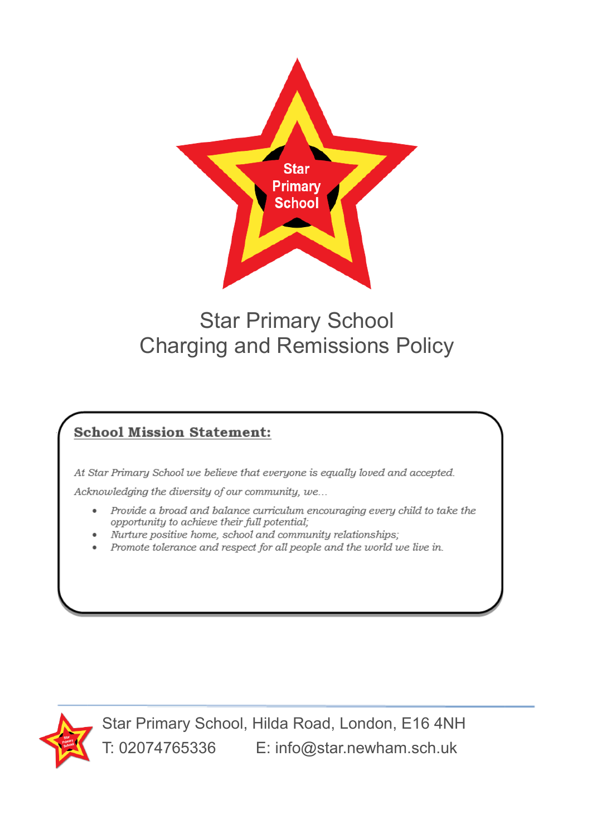

# Star Primary School Charging and Remissions Policy

## **School Mission Statement:**

At Star Primary School we believe that everyone is equally loved and accepted.

Acknowledging the diversity of our community, we...

- Provide a broad and balance curriculum encouraging every child to take the ٠ opportunity to achieve their full potential;
- Nurture positive home, school and community relationships;
- Promote tolerance and respect for all people and the world we live in.



Star Primary School, Hilda Road, London, E16 4NH T: 02074765336 E: info@star.newham.sch.uk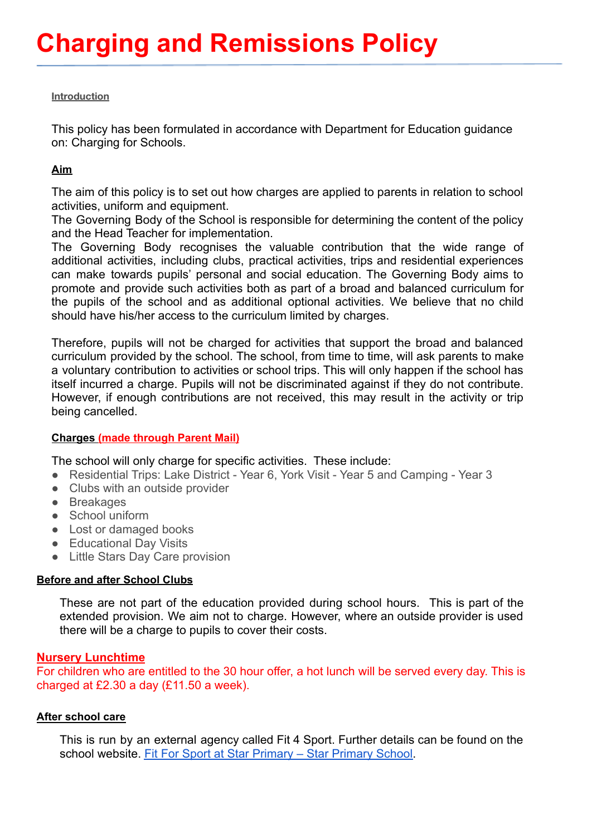#### **Introduction**

This policy has been formulated in accordance with Department for Education guidance on: Charging for Schools.

## **Aim**

The aim of this policy is to set out how charges are applied to parents in relation to school activities, uniform and equipment.

The Governing Body of the School is responsible for determining the content of the policy and the Head Teacher for implementation.

The Governing Body recognises the valuable contribution that the wide range of additional activities, including clubs, practical activities, trips and residential experiences can make towards pupils' personal and social education. The Governing Body aims to promote and provide such activities both as part of a broad and balanced curriculum for the pupils of the school and as additional optional activities. We believe that no child should have his/her access to the curriculum limited by charges.

Therefore, pupils will not be charged for activities that support the broad and balanced curriculum provided by the school. The school, from time to time, will ask parents to make a voluntary contribution to activities or school trips. This will only happen if the school has itself incurred a charge. Pupils will not be discriminated against if they do not contribute. However, if enough contributions are not received, this may result in the activity or trip being cancelled.

## **Charges (made through Parent Mail)**

The school will only charge for specific activities. These include:

- Residential Trips: Lake District Year 6, York Visit Year 5 and Camping Year 3
- Clubs with an outside provider
- Breakages
- School uniform
- Lost or damaged books
- Educational Day Visits
- Little Stars Day Care provision

## **Before and after School Clubs**

These are not part of the education provided during school hours. This is part of the extended provision. We aim not to charge. However, where an outside provider is used there will be a charge to pupils to cover their costs.

## **Nursery Lunchtime**

For children who are entitled to the 30 hour offer, a hot lunch will be served every day. This is charged at £2.30 a day (£11.50 a week).

## **After school care**

This is run by an external agency called Fit 4 Sport. Further details can be found on the school website. [Fit For Sport at Star Primary – Star](https://star.newham.sch.uk/before-after-school/fit-for-sport/) Primary School.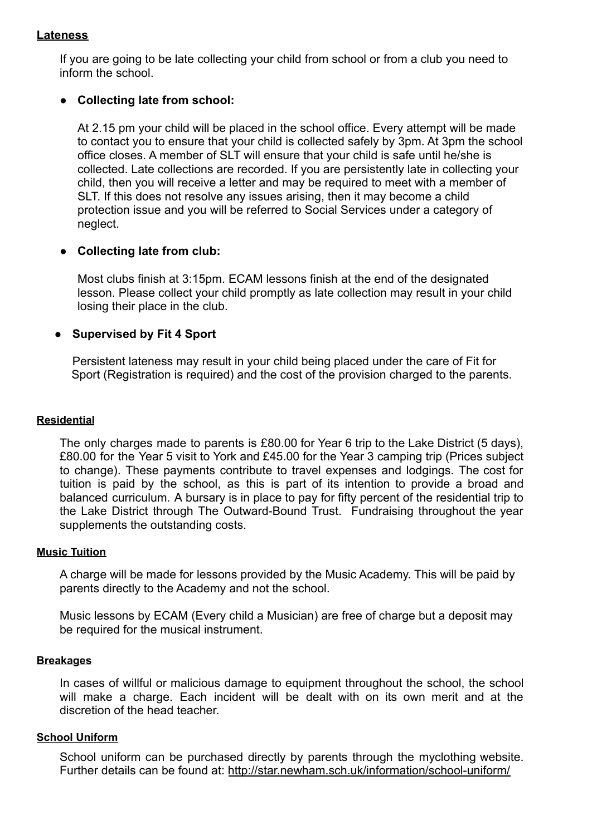## **Lateness**

If you are going to be late collecting your child from school or from a club you need to inform the school.

## **● Collecting late from school:**

At 2.15 pm your child will be placed in the school office. Every attempt will be made to contact you to ensure that your child is collected safely by 3pm. At 3pm the school office closes. A member of SLT will ensure that your child is safe until he/she is collected. Late collections are recorded. If you are persistently late in collecting your child, then you will receive a letter and may be required to meet with a member of SLT. If this does not resolve any issues arising, then it may become a child protection issue and you will be referred to Social Services under a category of neglect.

## **● Collecting late from club:**

Most clubs finish at 3:15pm. ECAM lessons finish at the end of the designated lesson. Please collect your child promptly as late collection may result in your child losing their place in the club.

## **● Supervised by Fit 4 Sport**

Persistent lateness may result in your child being placed under the care of Fit for Sport (Registration is required) and the cost of the provision charged to the parents.

#### **Residential**

The only charges made to parents is £80.00 for Year 6 trip to the Lake District (5 days), £80.00 for the Year 5 visit to York and £45.00 for the Year 3 camping trip (Prices subject to change). These payments contribute to travel expenses and lodgings. The cost for tuition is paid by the school, as this is part of its intention to provide a broad and balanced curriculum. A bursary is in place to pay for fifty percent of the residential trip to the Lake District through The Outward-Bound Trust. Fundraising throughout the year supplements the outstanding costs.

#### **Music Tuition**

A charge will be made for lessons provided by the Music Academy. This will be paid by parents directly to the Academy and not the school.

Music lessons by ECAM (Every child a Musician) are free of charge but a deposit may be required for the musical instrument.

#### **Breakages**

In cases of willful or malicious damage to equipment throughout the school, the school will make a charge. Each incident will be dealt with on its own merit and at the discretion of the head teacher.

#### **School Uniform**

School uniform can be purchased directly by parents through the myclothing website. Further details can be found at: <http://star.newham.sch.uk/information/school-uniform/>